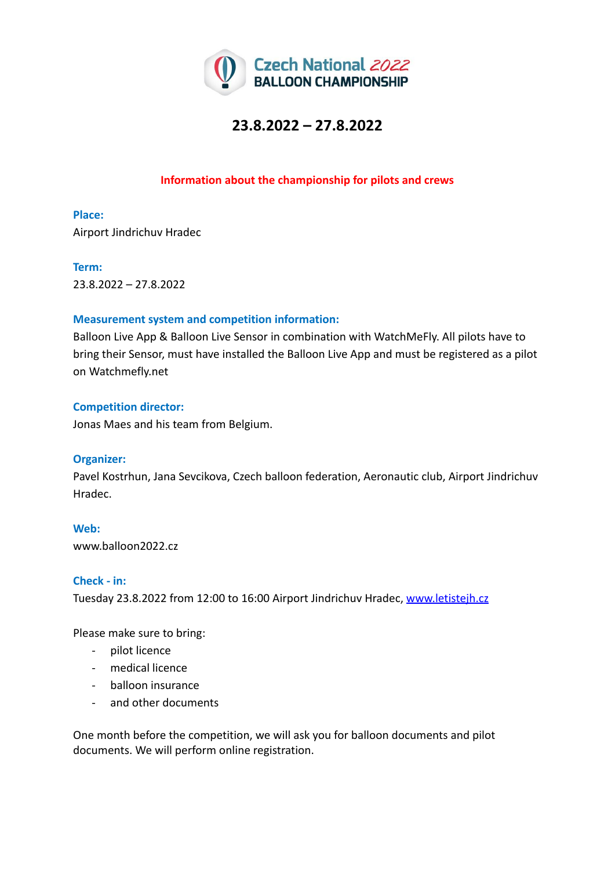

## **Information about the championship for pilots and crews**

**Place:** Airport Jindrichuv Hradec

#### **Term:**

23.8.2022 – 27.8.2022

#### **Measurement system and competition information:**

Balloon Live App & Balloon Live Sensor in combination with WatchMeFly. All pilots have to bring their Sensor, must have installed the Balloon Live App and must be registered as a pilot on Watchmefly.net

### **Competition director:**

Jonas Maes and his team from Belgium.

#### **Organizer:**

Pavel Kostrhun, Jana Sevcikova, Czech balloon federation, Aeronautic club, Airport Jindrichuv Hradec.

**Web:** www.balloon2022.cz

#### **Check - in:**

Tuesday 23.8.2022 from 12:00 to 16:00 Airport Jindrichuv Hradec, [www.letistejh.cz](http://www.letistejh.cz/)

Please make sure to bring:

- pilot licence
- medical licence
- balloon insurance
- and other documents

One month before the competition, we will ask you for balloon documents and pilot documents. We will perform online registration.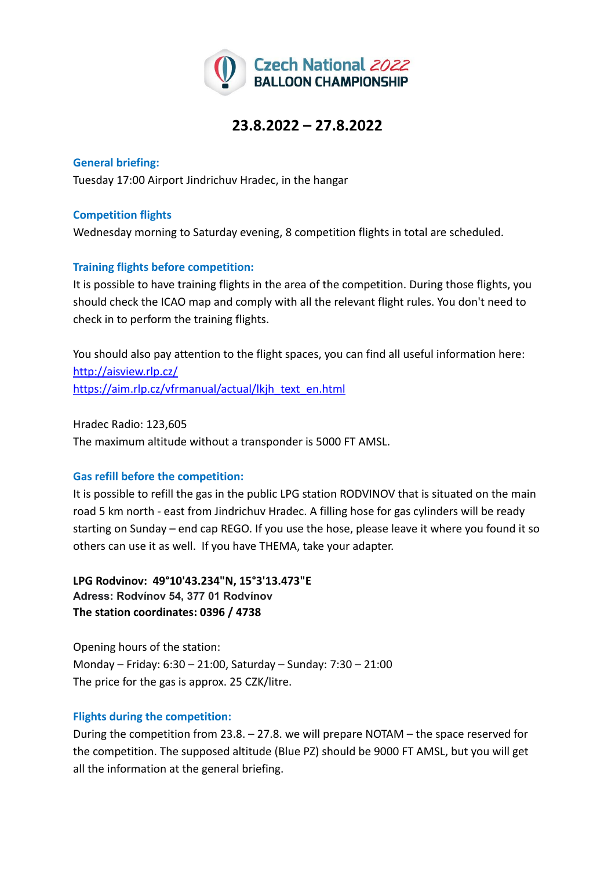

**General briefing:** Tuesday 17:00 Airport Jindrichuv Hradec, in the hangar

### **Competition flights**

Wednesday morning to Saturday evening, 8 competition flights in total are scheduled.

## **Training flights before competition:**

It is possible to have training flights in the area of the competition. During those flights, you should check the ICAO map and comply with all the relevant flight rules. You don't need to check in to perform the training flights.

You should also pay attention to the flight spaces, you can find all useful information here: <http://aisview.rlp.cz/> [https://aim.rlp.cz/vfrmanual/actual/lkjh\\_text\\_en.html](https://aim.rlp.cz/vfrmanual/actual/lkjh_text_en.html)

Hradec Radio: 123,605 The maximum altitude without a transponder is 5000 FT AMSL.

## **Gas refill before the competition:**

It is possible to refill the gas in the public LPG station RODVINOV that is situated on the main road 5 km north - east from Jindrichuv Hradec. A filling hose for gas cylinders will be ready starting on Sunday – end cap REGO. If you use the hose, please leave it where you found it so others can use it as well. If you have THEMA, take your adapter.

**LPG Rodvinov: 49°10'43.234"N, 15°3'13.473"E Adress: Rodvínov 54, 377 01 Rodvínov The station coordinates: 0396 / 4738**

Opening hours of the station: Monday – Friday: 6:30 – 21:00, Saturday – Sunday: 7:30 – 21:00 The price for the gas is approx. 25 CZK/litre.

#### **Flights during the competition:**

During the competition from 23.8. – 27.8. we will prepare NOTAM – the space reserved for the competition. The supposed altitude (Blue PZ) should be 9000 FT AMSL, but you will get all the information at the general briefing.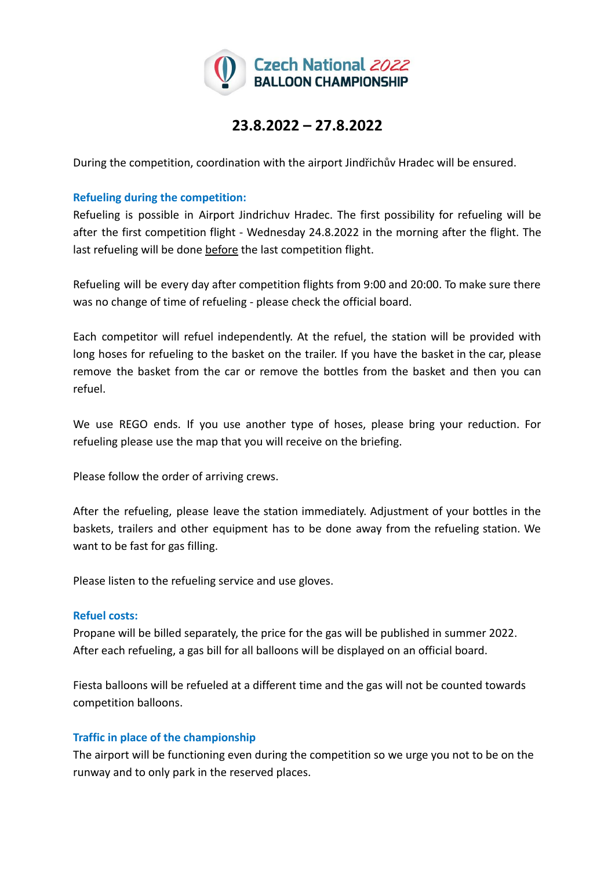

During the competition, coordination with the airport Jindřichův Hradec will be ensured.

### **Refueling during the competition:**

Refueling is possible in Airport Jindrichuv Hradec. The first possibility for refueling will be after the first competition flight - Wednesday 24.8.2022 in the morning after the flight. The last refueling will be done before the last competition flight.

Refueling will be every day after competition flights from 9:00 and 20:00. To make sure there was no change of time of refueling - please check the official board.

Each competitor will refuel independently. At the refuel, the station will be provided with long hoses for refueling to the basket on the trailer. If you have the basket in the car, please remove the basket from the car or remove the bottles from the basket and then you can refuel.

We use REGO ends. If you use another type of hoses, please bring your reduction. For refueling please use the map that you will receive on the briefing.

Please follow the order of arriving crews.

After the refueling, please leave the station immediately. Adjustment of your bottles in the baskets, trailers and other equipment has to be done away from the refueling station. We want to be fast for gas filling.

Please listen to the refueling service and use gloves.

#### **Refuel costs:**

Propane will be billed separately, the price for the gas will be published in summer 2022. After each refueling, a gas bill for all balloons will be displayed on an official board.

Fiesta balloons will be refueled at a different time and the gas will not be counted towards competition balloons.

## **Traffic in place of the championship**

The airport will be functioning even during the competition so we urge you not to be on the runway and to only park in the reserved places.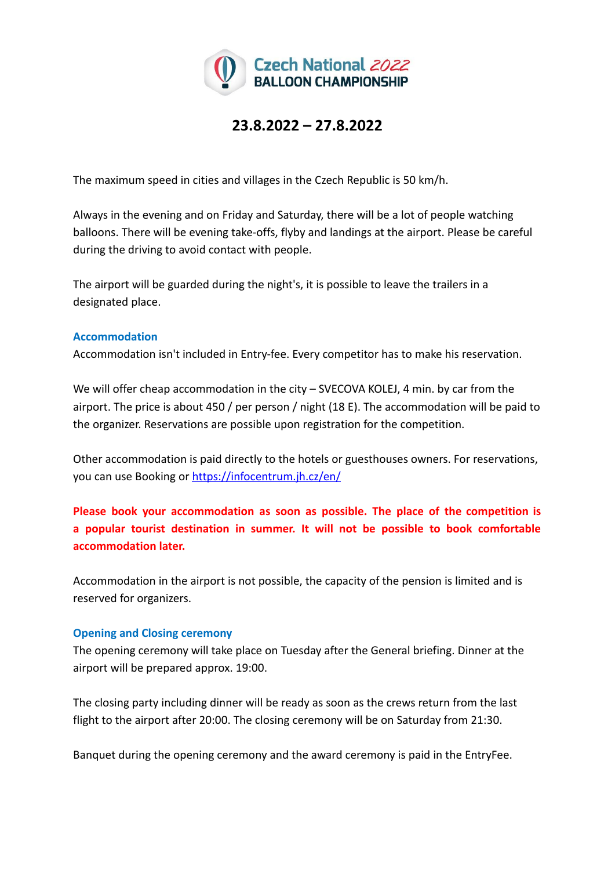

The maximum speed in cities and villages in the Czech Republic is 50 km/h.

Always in the evening and on Friday and Saturday, there will be a lot of people watching balloons. There will be evening take-offs, flyby and landings at the airport. Please be careful during the driving to avoid contact with people.

The airport will be guarded during the night's, it is possible to leave the trailers in a designated place.

## **Accommodation**

Accommodation isn't included in Entry-fee. Every competitor has to make his reservation.

We will offer cheap accommodation in the city – SVECOVA KOLEJ, 4 min. by car from the airport. The price is about 450 / per person / night (18 E). The accommodation will be paid to the organizer. Reservations are possible upon registration for the competition.

Other accommodation is paid directly to the hotels or guesthouses owners. For reservations, you can use Booking or <https://infocentrum.jh.cz/en/>

**Please book your accommodation as soon as possible. The place of the competition is a popular tourist destination in summer. It will not be possible to book comfortable accommodation later.**

Accommodation in the airport is not possible, the capacity of the pension is limited and is reserved for organizers.

## **Opening and Closing ceremony**

The opening ceremony will take place on Tuesday after the General briefing. Dinner at the airport will be prepared approx. 19:00.

The closing party including dinner will be ready as soon as the crews return from the last flight to the airport after 20:00. The closing ceremony will be on Saturday from 21:30.

Banquet during the opening ceremony and the award ceremony is paid in the EntryFee.